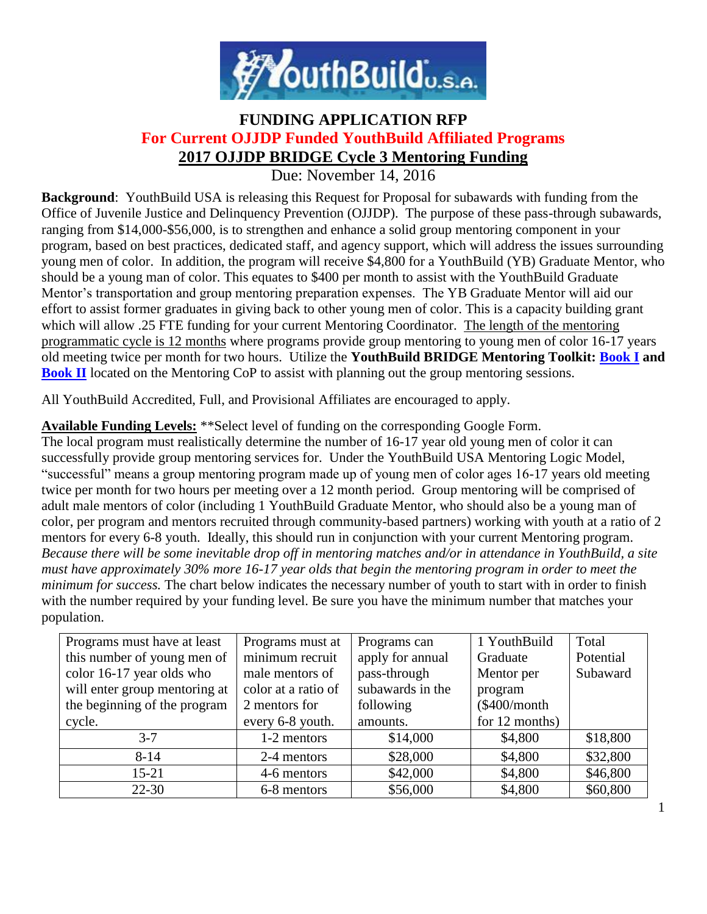

# **FUNDING APPLICATION RFP For Current OJJDP Funded YouthBuild Affiliated Programs 2017 OJJDP BRIDGE Cycle 3 Mentoring Funding**

Due: November 14, 2016

**Background**: YouthBuild USA is releasing this Request for Proposal for subawards with funding from the Office of Juvenile Justice and Delinquency Prevention (OJJDP). The purpose of these pass-through subawards, ranging from \$14,000-\$56,000, is to strengthen and enhance a solid group mentoring component in your program, based on best practices, dedicated staff, and agency support, which will address the issues surrounding young men of color. In addition, the program will receive \$4,800 for a YouthBuild (YB) Graduate Mentor, who should be a young man of color. This equates to \$400 per month to assist with the YouthBuild Graduate Mentor's transportation and group mentoring preparation expenses. The YB Graduate Mentor will aid our effort to assist former graduates in giving back to other young men of color. This is a capacity building grant which will allow .25 FTE funding for your current Mentoring Coordinator. The length of the mentoring programmatic cycle is 12 months where programs provide group mentoring to young men of color 16-17 years old meeting twice per month for two hours. Utilize the **YouthBuild BRIDGE Mentoring Toolkit: [Book I](http://youthbuildmentoringalliance.org/webfm_send/788) and [Book II](http://youthbuildmentoringalliance.org/webfm_send/789)** located on the Mentoring CoP to assist with planning out the group mentoring sessions.

All YouthBuild Accredited, Full, and Provisional Affiliates are encouraged to apply.

#### **Available Funding Levels:** \*\*Select level of funding on the corresponding Google Form.

The local program must realistically determine the number of 16-17 year old young men of color it can successfully provide group mentoring services for. Under the YouthBuild USA Mentoring Logic Model, "successful" means a group mentoring program made up of young men of color ages 16-17 years old meeting twice per month for two hours per meeting over a 12 month period. Group mentoring will be comprised of adult male mentors of color (including 1 YouthBuild Graduate Mentor, who should also be a young man of color, per program and mentors recruited through community-based partners) working with youth at a ratio of 2 mentors for every 6-8 youth. Ideally, this should run in conjunction with your current Mentoring program*. Because there will be some inevitable drop off in mentoring matches and/or in attendance in YouthBuild, a site must have approximately 30% more 16-17 year olds that begin the mentoring program in order to meet the minimum for success.* The chart below indicates the necessary number of youth to start with in order to finish with the number required by your funding level. Be sure you have the minimum number that matches your population.

| Programs must have at least   | Programs must at    | Programs can     | 1 YouthBuild   | Total     |
|-------------------------------|---------------------|------------------|----------------|-----------|
| this number of young men of   | minimum recruit     | apply for annual | Graduate       | Potential |
| color 16-17 year olds who     | male mentors of     | pass-through     | Mentor per     | Subaward  |
| will enter group mentoring at | color at a ratio of | subawards in the | program        |           |
| the beginning of the program  | 2 mentors for       | following        | (\$400/month   |           |
| cycle.                        | every 6-8 youth.    | amounts.         | for 12 months) |           |
| $3 - 7$                       | 1-2 mentors         | \$14,000         | \$4,800        | \$18,800  |
| $8 - 14$                      | 2-4 mentors         | \$28,000         | \$4,800        | \$32,800  |
| $15 - 21$                     | 4-6 mentors         | \$42,000         | \$4,800        | \$46,800  |
| $22 - 30$                     | 6-8 mentors         | \$56,000         | \$4,800        | \$60,800  |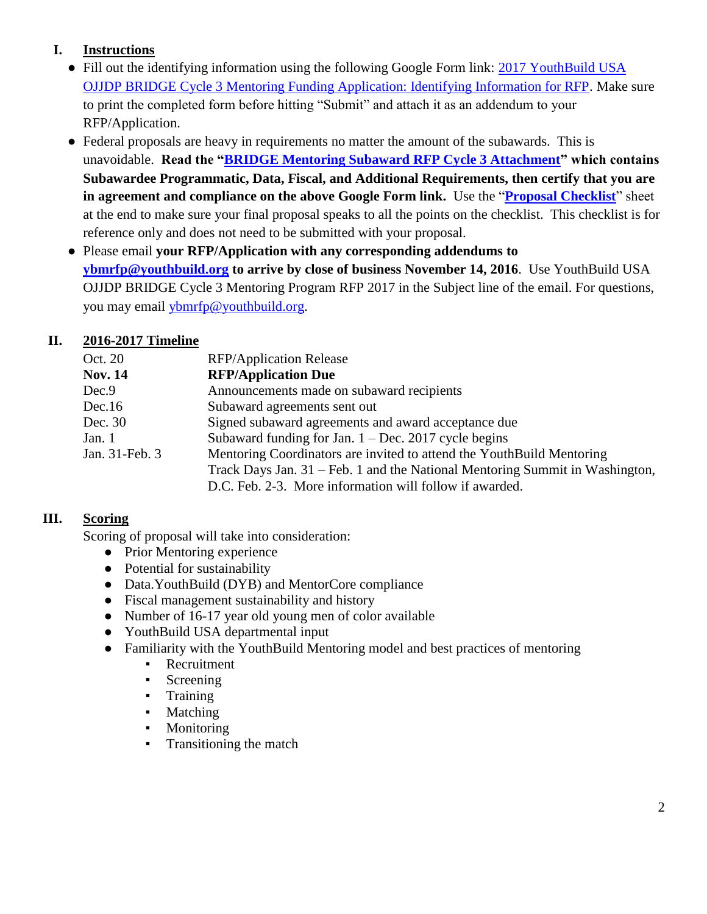### **I. Instructions**

- Fill out the identifying information using the following Google Form link: 2017 YouthBuild USA [OJJDP BRIDGE Cycle 3 Mentoring Funding Application: Identifying Information for RFP.](https://docs.google.com/forms/d/e/1FAIpQLSdS2PQoylNStPMCCycOaGfzAgJzU83leB_6-z9pv0ZWPHApnw/viewform?usp=send_form) Make sure to print the completed form before hitting "Submit" and attach it as an addendum to your RFP/Application.
- Federal proposals are heavy in requirements no matter the amount of the subawards. This is unavoidable. **Read the ["BRIDGE Mentoring Subaward RFP Cycle 3 Attachment"](http://youthbuildmentoringalliance.org/webfm_send/901) which contains Subawardee Programmatic, Data, Fiscal, and Additional Requirements, then certify that you are in agreement and compliance on the above Google Form link.** Use the "**[Proposal Checklist](http://youthbuildmentoringalliance.org/webfm_send/888)**" sheet at the end to make sure your final proposal speaks to all the points on the checklist. This checklist is for reference only and does not need to be submitted with your proposal.
- Please email **your RFP/Application with any corresponding addendums to [ybmrfp@youthbuild.org](mailto:ybmrfp@youthbuild.org) to arrive by close of business November 14, 2016**. Use YouthBuild USA OJJDP BRIDGE Cycle 3 Mentoring Program RFP 2017 in the Subject line of the email. For questions, you may email [ybmrfp@youthbuild.org.](mailto:ybmrfp@youthbuild.org)

### **II. 2016-2017 Timeline**

| Oct. 20        | <b>RFP/Application Release</b>                                               |
|----------------|------------------------------------------------------------------------------|
| <b>Nov. 14</b> | <b>RFP/Application Due</b>                                                   |
| Dec.9          | Announcements made on subaward recipients                                    |
| Dec.16         | Subaward agreements sent out                                                 |
| Dec. 30        | Signed subaward agreements and award acceptance due                          |
| Jan. 1         | Subaward funding for Jan. $1 - Dec. 2017$ cycle begins                       |
| Jan. 31-Feb. 3 | Mentoring Coordinators are invited to attend the YouthBuild Mentoring        |
|                | Track Days Jan. 31 – Feb. 1 and the National Mentoring Summit in Washington, |
|                | D.C. Feb. 2-3. More information will follow if awarded.                      |

#### **III. Scoring**

Scoring of proposal will take into consideration:

- Prior Mentoring experience
- Potential for sustainability
- Data.YouthBuild (DYB) and MentorCore compliance
- Fiscal management sustainability and history
- Number of 16-17 year old young men of color available
- YouthBuild USA departmental input
- Familiarity with the YouthBuild Mentoring model and best practices of mentoring
	- **•** Recruitment
	- Screening
	- Training
	- Matching
	- **Monitoring**
	- **•** Transitioning the match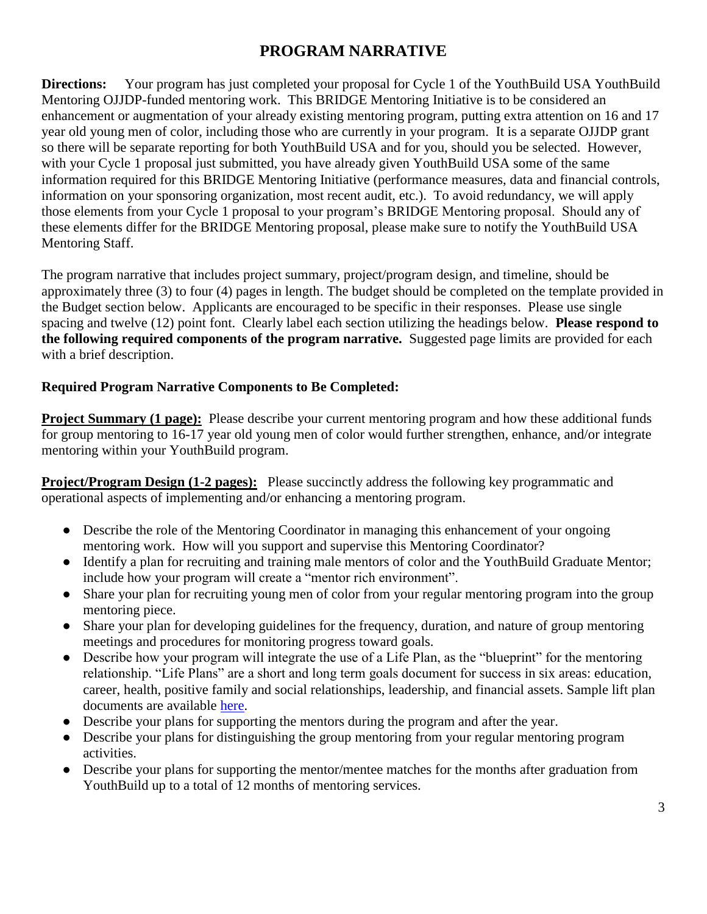## **PROGRAM NARRATIVE**

**Directions:** Your program has just completed your proposal for Cycle 1 of the YouthBuild USA YouthBuild Mentoring OJJDP-funded mentoring work. This BRIDGE Mentoring Initiative is to be considered an enhancement or augmentation of your already existing mentoring program, putting extra attention on 16 and 17 year old young men of color, including those who are currently in your program. It is a separate OJJDP grant so there will be separate reporting for both YouthBuild USA and for you, should you be selected. However, with your Cycle 1 proposal just submitted, you have already given YouthBuild USA some of the same information required for this BRIDGE Mentoring Initiative (performance measures, data and financial controls, information on your sponsoring organization, most recent audit, etc.). To avoid redundancy, we will apply those elements from your Cycle 1 proposal to your program's BRIDGE Mentoring proposal. Should any of these elements differ for the BRIDGE Mentoring proposal, please make sure to notify the YouthBuild USA Mentoring Staff.

The program narrative that includes project summary, project/program design, and timeline, should be approximately three (3) to four (4) pages in length. The budget should be completed on the template provided in the Budget section below. Applicants are encouraged to be specific in their responses. Please use single spacing and twelve (12) point font. Clearly label each section utilizing the headings below. **Please respond to the following required components of the program narrative.** Suggested page limits are provided for each with a brief description.

#### **Required Program Narrative Components to Be Completed:**

**Project Summary (1 page):** Please describe your current mentoring program and how these additional funds for group mentoring to 16-17 year old young men of color would further strengthen, enhance, and/or integrate mentoring within your YouthBuild program.

**Project/Program Design (1-2 pages):** Please succinctly address the following key programmatic and operational aspects of implementing and/or enhancing a mentoring program.

- Describe the role of the Mentoring Coordinator in managing this enhancement of your ongoing mentoring work. How will you support and supervise this Mentoring Coordinator?
- Identify a plan for recruiting and training male mentors of color and the YouthBuild Graduate Mentor; include how your program will create a "mentor rich environment".
- Share your plan for recruiting young men of color from your regular mentoring program into the group mentoring piece.
- Share your plan for developing guidelines for the frequency, duration, and nature of group mentoring meetings and procedures for monitoring progress toward goals.
- Describe how your program will integrate the use of a Life Plan, as the "blueprint" for the mentoring relationship. "Life Plans" are a short and long term goals document for success in six areas: education, career, health, positive family and social relationships, leadership, and financial assets. Sample lift plan documents are available [here.](http://youthbuildmentoringalliance.org/content/mentoring-activities)
- Describe your plans for supporting the mentors during the program and after the year.
- Describe your plans for distinguishing the group mentoring from your regular mentoring program activities.
- Describe your plans for supporting the mentor/mentee matches for the months after graduation from YouthBuild up to a total of 12 months of mentoring services.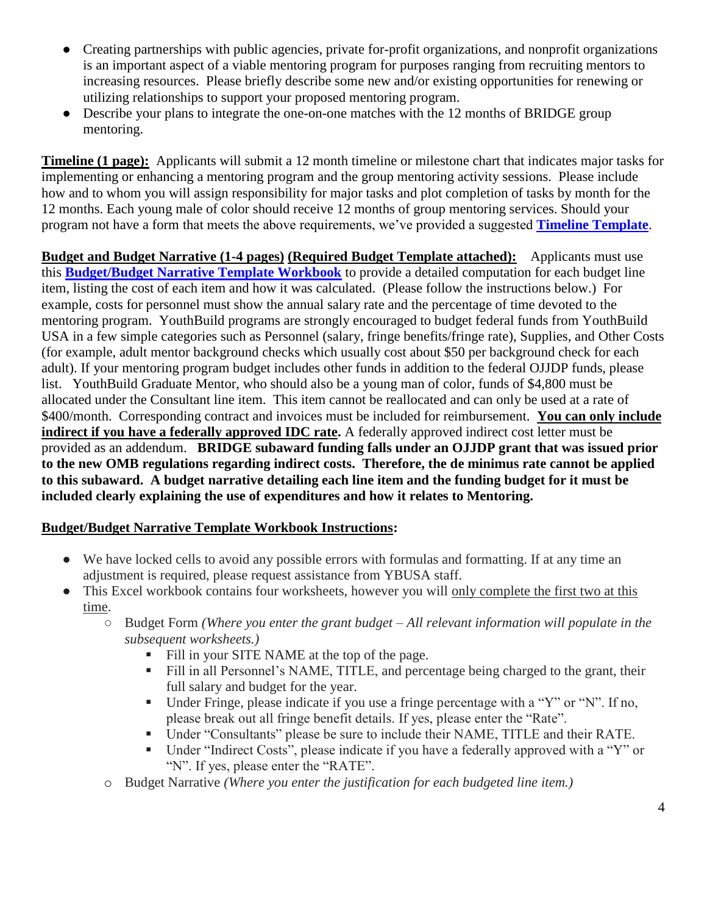- Creating partnerships with public agencies, private for-profit organizations, and nonprofit organizations is an important aspect of a viable mentoring program for purposes ranging from recruiting mentors to increasing resources. Please briefly describe some new and/or existing opportunities for renewing or utilizing relationships to support your proposed mentoring program.
- Describe your plans to integrate the one-on-one matches with the 12 months of BRIDGE group mentoring.

**Timeline (1 page):** Applicants will submit a 12 month timeline or milestone chart that indicates major tasks for implementing or enhancing a mentoring program and the group mentoring activity sessions. Please include how and to whom you will assign responsibility for major tasks and plot completion of tasks by month for the 12 months. Each young male of color should receive 12 months of group mentoring services. Should your program not have a form that meets the above requirements, we've provided a suggested **[Timeline Template](http://youthbuildmentoringalliance.org/webfm_send/889)**.

**Budget and Budget Narrative (1-4 pages) (Required Budget Template attached):** Applicants must use this **[Budget/Budget Narrative Template Workbook](http://youthbuildmentoringalliance.org/webfm_send/896)** to provide a detailed computation for each budget line item, listing the cost of each item and how it was calculated. (Please follow the instructions below.) For example, costs for personnel must show the annual salary rate and the percentage of time devoted to the mentoring program. YouthBuild programs are strongly encouraged to budget federal funds from YouthBuild USA in a few simple categories such as Personnel (salary, fringe benefits/fringe rate), Supplies, and Other Costs (for example, adult mentor background checks which usually cost about \$50 per background check for each adult). If your mentoring program budget includes other funds in addition to the federal OJJDP funds, please list. YouthBuild Graduate Mentor, who should also be a young man of color, funds of \$4,800 must be allocated under the Consultant line item. This item cannot be reallocated and can only be used at a rate of \$400/month. Corresponding contract and invoices must be included for reimbursement. **You can only include indirect if you have a federally approved IDC rate.** A federally approved indirect cost letter must be provided as an addendum. **BRIDGE subaward funding falls under an OJJDP grant that was issued prior to the new OMB regulations regarding indirect costs. Therefore, the de minimus rate cannot be applied to this subaward. A budget narrative detailing each line item and the funding budget for it must be included clearly explaining the use of expenditures and how it relates to Mentoring.** 

#### **Budget/Budget Narrative Template Workbook Instructions:**

- We have locked cells to avoid any possible errors with formulas and formatting. If at any time an adjustment is required, please request assistance from YBUSA staff.
- This Excel workbook contains four worksheets, however you will only complete the first two at this time.
	- Budget Form *(Where you enter the grant budget – All relevant information will populate in the subsequent worksheets.)*
		- Fill in your SITE NAME at the top of the page.
		- Fill in all Personnel's NAME, TITLE, and percentage being charged to the grant, their full salary and budget for the year.
		- Under Fringe, please indicate if you use a fringe percentage with a "Y" or "N". If no, please break out all fringe benefit details. If yes, please enter the "Rate".
		- Under "Consultants" please be sure to include their NAME, TITLE and their RATE.
		- Under "Indirect Costs", please indicate if you have a federally approved with a "Y" or "N". If yes, please enter the "RATE".
	- o Budget Narrative *(Where you enter the justification for each budgeted line item.)*